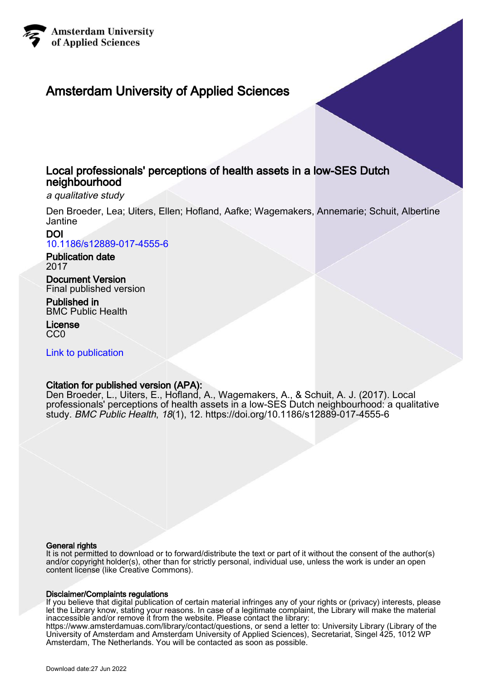

# Amsterdam University of Applied Sciences

# Local professionals' perceptions of health assets in a low-SES Dutch neighbourhood

a qualitative study

Den Broeder, Lea; Uiters, Ellen; Hofland, Aafke; Wagemakers, Annemarie; Schuit, Albertine Jantine

DOI [10.1186/s12889-017-4555-6](https://doi.org/10.1186/s12889-017-4555-6)

Publication date 2017

Document Version Final published version

Published in BMC Public Health

License C<sub>C</sub>O

[Link to publication](https://research.hva.nl/en/publications/4a6665e4-02fb-4984-8fa3-e6bd07c3843f)

# Citation for published version (APA):

Den Broeder, L., Uiters, E., Hofland, A., Wagemakers, A., & Schuit, A. J. (2017). Local professionals' perceptions of health assets in a low-SES Dutch neighbourhood: a qualitative study. BMC Public Health, 18(1), 12.<https://doi.org/10.1186/s12889-017-4555-6>

# General rights

It is not permitted to download or to forward/distribute the text or part of it without the consent of the author(s) and/or copyright holder(s), other than for strictly personal, individual use, unless the work is under an open content license (like Creative Commons).

# Disclaimer/Complaints regulations

If you believe that digital publication of certain material infringes any of your rights or (privacy) interests, please let the Library know, stating your reasons. In case of a legitimate complaint, the Library will make the material inaccessible and/or remove it from the website. Please contact the library: https://www.amsterdamuas.com/library/contact/questions, or send a letter to: University Library (Library of the University of Amsterdam and Amsterdam University of Applied Sciences), Secretariat, Singel 425, 1012 WP Amsterdam, The Netherlands. You will be contacted as soon as possible.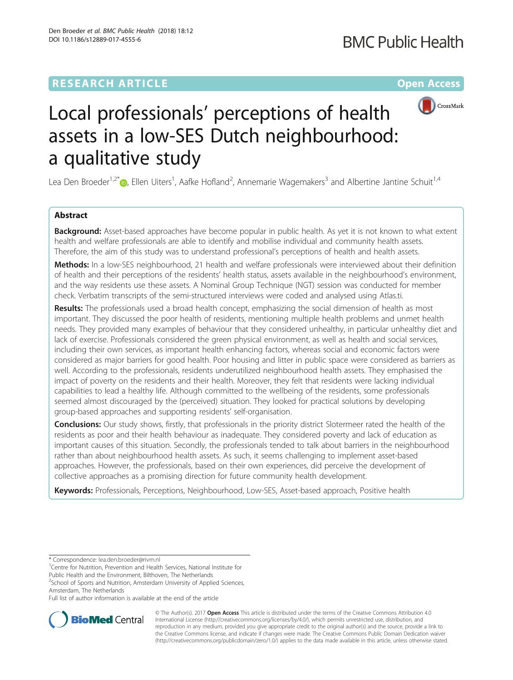# **RESEARCH ARTICLE External Structure Community Community Community Community Community Community Community Community**



# Local professionals' perceptions of health assets in a low-SES Dutch neighbourhood: a qualitative study

Lea Den Broeder<sup>1[,](http://orcid.org/0000-0003-1927-4530)2\*</sup>®, Ellen Uiters<sup>1</sup>, Aafke Hofland<sup>2</sup>, Annemarie Wagemakers<sup>3</sup> and Albertine Jantine Schuit<sup>1,4</sup>

# Abstract

**Background:** Asset-based approaches have become popular in public health. As yet it is not known to what extent health and welfare professionals are able to identify and mobilise individual and community health assets. Therefore, the aim of this study was to understand professional's perceptions of health and health assets.

Methods: In a low-SES neighbourhood, 21 health and welfare professionals were interviewed about their definition of health and their perceptions of the residents' health status, assets available in the neighbourhood's environment, and the way residents use these assets. A Nominal Group Technique (NGT) session was conducted for member check. Verbatim transcripts of the semi-structured interviews were coded and analysed using Atlas.ti.

Results: The professionals used a broad health concept, emphasizing the social dimension of health as most important. They discussed the poor health of residents, mentioning multiple health problems and unmet health needs. They provided many examples of behaviour that they considered unhealthy, in particular unhealthy diet and lack of exercise. Professionals considered the green physical environment, as well as health and social services, including their own services, as important health enhancing factors, whereas social and economic factors were considered as major barriers for good health. Poor housing and litter in public space were considered as barriers as well. According to the professionals, residents underutilized neighbourhood health assets. They emphasised the impact of poverty on the residents and their health. Moreover, they felt that residents were lacking individual capabilities to lead a healthy life. Although committed to the wellbeing of the residents, some professionals seemed almost discouraged by the (perceived) situation. They looked for practical solutions by developing group-based approaches and supporting residents' self-organisation.

**Conclusions:** Our study shows, firstly, that professionals in the priority district Slotermeer rated the health of the residents as poor and their health behaviour as inadequate. They considered poverty and lack of education as important causes of this situation. Secondly, the professionals tended to talk about barriers in the neighbourhood rather than about neighbourhood health assets. As such, it seems challenging to implement asset-based approaches. However, the professionals, based on their own experiences, did perceive the development of collective approaches as a promising direction for future community health development.

Keywords: Professionals, Perceptions, Neighbourhood, Low-SES, Asset-based approach, Positive health

Public Health and the Environment, Bilthoven, The Netherlands

<sup>2</sup>School of Sports and Nutrition, Amsterdam University of Applied Sciences, Amsterdam, The Netherlands

Full list of author information is available at the end of the article



© The Author(s). 2017 **Open Access** This article is distributed under the terms of the Creative Commons Attribution 4.0 International License [\(http://creativecommons.org/licenses/by/4.0/](http://creativecommons.org/licenses/by/4.0/)), which permits unrestricted use, distribution, and reproduction in any medium, provided you give appropriate credit to the original author(s) and the source, provide a link to the Creative Commons license, and indicate if changes were made. The Creative Commons Public Domain Dedication waiver [\(http://creativecommons.org/publicdomain/zero/1.0/](http://creativecommons.org/publicdomain/zero/1.0/)) applies to the data made available in this article, unless otherwise stated.

<sup>\*</sup> Correspondence: [lea.den.broeder@rivm.nl](mailto:lea.den.broeder@rivm.nl) <sup>1</sup>

<sup>&</sup>lt;sup>1</sup> Centre for Nutrition, Prevention and Health Services, National Institute for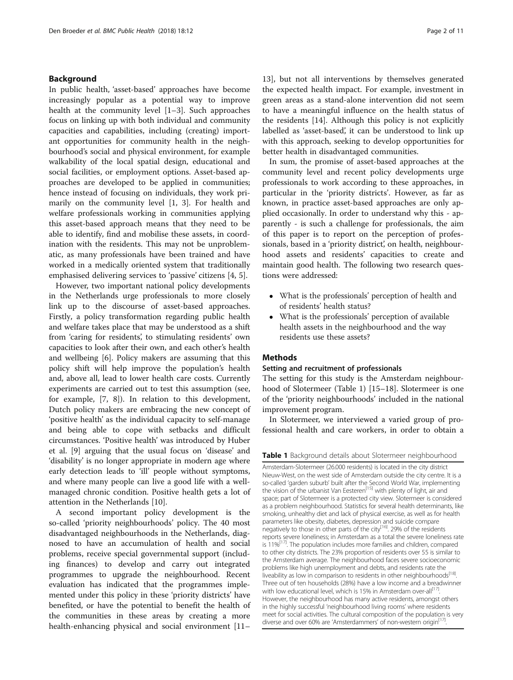# <span id="page-2-0"></span>Background

In public health, 'asset-based' approaches have become increasingly popular as a potential way to improve health at the community level [\[1](#page-11-0)–[3\]](#page-11-0). Such approaches focus on linking up with both individual and community capacities and capabilities, including (creating) important opportunities for community health in the neighbourhood's social and physical environment, for example walkability of the local spatial design, educational and social facilities, or employment options. Asset-based approaches are developed to be applied in communities; hence instead of focusing on individuals, they work primarily on the community level [\[1](#page-11-0), [3](#page-11-0)]. For health and welfare professionals working in communities applying this asset-based approach means that they need to be able to identify, find and mobilise these assets, in coordination with the residents. This may not be unproblematic, as many professionals have been trained and have worked in a medically oriented system that traditionally emphasised delivering services to 'passive' citizens [\[4](#page-11-0), [5](#page-11-0)].

However, two important national policy developments in the Netherlands urge professionals to more closely link up to the discourse of asset-based approaches. Firstly, a policy transformation regarding public health and welfare takes place that may be understood as a shift from 'caring for residents', to stimulating residents' own capacities to look after their own, and each other's health and wellbeing [\[6](#page-11-0)]. Policy makers are assuming that this policy shift will help improve the population's health and, above all, lead to lower health care costs. Currently experiments are carried out to test this assumption (see, for example, [[7, 8](#page-11-0)]). In relation to this development, Dutch policy makers are embracing the new concept of 'positive health' as the individual capacity to self-manage and being able to cope with setbacks and difficult circumstances. 'Positive health' was introduced by Huber et al. [[9\]](#page-11-0) arguing that the usual focus on 'disease' and 'disability' is no longer appropriate in modern age where early detection leads to 'ill' people without symptoms, and where many people can live a good life with a wellmanaged chronic condition. Positive health gets a lot of attention in the Netherlands [\[10\]](#page-11-0).

A second important policy development is the so-called 'priority neighbourhoods' policy. The 40 most disadvantaged neighbourhoods in the Netherlands, diagnosed to have an accumulation of health and social problems, receive special governmental support (including finances) to develop and carry out integrated programmes to upgrade the neighbourhood. Recent evaluation has indicated that the programmes implemented under this policy in these 'priority districts' have benefited, or have the potential to benefit the health of the communities in these areas by creating a more health-enhancing physical and social environment [[11](#page-11-0)–

[13\]](#page-11-0), but not all interventions by themselves generated the expected health impact. For example, investment in green areas as a stand-alone intervention did not seem to have a meaningful influence on the health status of the residents [\[14](#page-11-0)]. Although this policy is not explicitly labelled as 'asset-based', it can be understood to link up with this approach, seeking to develop opportunities for better health in disadvantaged communities.

In sum, the promise of asset-based approaches at the community level and recent policy developments urge professionals to work according to these approaches, in particular in the 'priority districts'. However, as far as known, in practice asset-based approaches are only applied occasionally. In order to understand why this - apparently - is such a challenge for professionals, the aim of this paper is to report on the perception of professionals, based in a 'priority district', on health, neighbourhood assets and residents' capacities to create and maintain good health. The following two research questions were addressed:

- What is the professionals' perception of health and of residents' health status?
- What is the professionals' perception of available health assets in the neighbourhood and the way residents use these assets?

# **Methods**

#### Setting and recruitment of professionals

The setting for this study is the Amsterdam neighbourhood of Slotermeer (Table 1) [[15](#page-11-0)–[18](#page-11-0)]. Slotermeer is one of the 'priority neighbourhoods' included in the national improvement program.

In Slotermeer, we interviewed a varied group of professional health and care workers, in order to obtain a

#### Table 1 Background details about Slotermeer neighbourhood

Amsterdam-Slotermeer (26.000 residents) is located in the city district Nieuw-West, on the west side of Amsterdam outside the city centre. It is a so-called 'garden suburb' built after the Second World War, implementing the vision of the urbanist Van Eesteren<sup>[\[15\]](#page-11-0)</sup> with plenty of light, air and space; part of Slotermeer is a protected city view. Slotermeer is considered as a problem neighbourhood. Statistics for several health determinants, like smoking, unhealthy diet and lack of physical exercise, as well as for health parameters like obesity, diabetes, depression and suicide compare negatively to those in other parts of the city<sup>[\[16\]](#page-11-0)</sup>. 29% of the residents reports severe loneliness; in Amsterdam as a total the severe loneliness rate is 11%<sup>[\[17](#page-11-0)]</sup>. The population includes more families and children, compared to other city districts. The 23% proportion of residents over 55 is similar to the Amsterdam average. The neighbourhood faces severe socioeconomic problems like high unemployment and debts, and residents rate the liveability as low in comparison to residents in other neighbourhoods $^{[18]}$  $^{[18]}$  $^{[18]}$ . Three out of ten households (28%) have a low income and a breadwinner with low educational level, which is 15% in Amsterdam over-all<sup>[\[17\]](#page-11-0)</sup> However, the neighbourhood has many active residents, amongst others in the highly successful 'neighbourhood living rooms' where residents meet for social activities. The cultural composition of the population is very diverse and over 60% are 'Amsterdammers' of non-western origin<sup>[[17](#page-11-0)]</sup>. .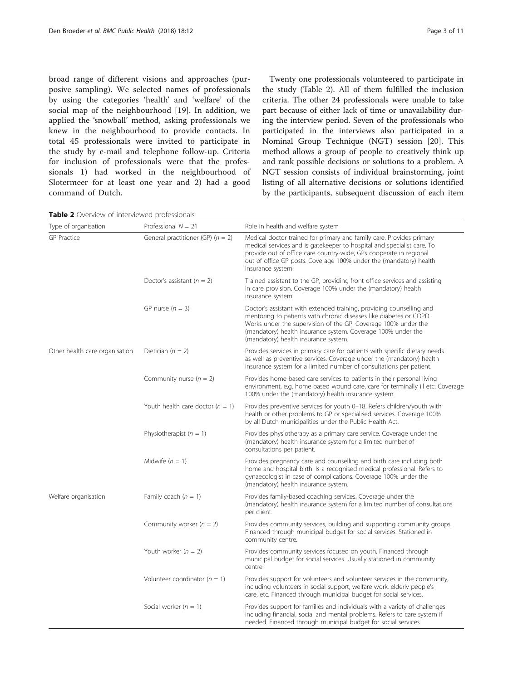broad range of different visions and approaches (purposive sampling). We selected names of professionals by using the categories 'health' and 'welfare' of the social map of the neighbourhood [\[19](#page-11-0)]. In addition, we applied the 'snowball' method, asking professionals we knew in the neighbourhood to provide contacts. In total 45 professionals were invited to participate in the study by e-mail and telephone follow-up. Criteria for inclusion of professionals were that the professionals 1) had worked in the neighbourhood of Slotermeer for at least one year and 2) had a good command of Dutch.

Twenty one professionals volunteered to participate in the study (Table 2). All of them fulfilled the inclusion criteria. The other 24 professionals were unable to take part because of either lack of time or unavailability during the interview period. Seven of the professionals who participated in the interviews also participated in a Nominal Group Technique (NGT) session [[20](#page-11-0)]. This method allows a group of people to creatively think up and rank possible decisions or solutions to a problem. A NGT session consists of individual brainstorming, joint listing of all alternative decisions or solutions identified by the participants, subsequent discussion of each item

| <b>Table 2</b> Overview of interviewed professionals |  |
|------------------------------------------------------|--|
|------------------------------------------------------|--|

| Type of organisation           | Professional $N = 21$                | Role in health and welfare system                                                                                                                                                                                                                                                                                    |
|--------------------------------|--------------------------------------|----------------------------------------------------------------------------------------------------------------------------------------------------------------------------------------------------------------------------------------------------------------------------------------------------------------------|
| <b>GP Practice</b>             | General practitioner (GP) $(n = 2)$  | Medical doctor trained for primary and family care. Provides primary<br>medical services and is gatekeeper to hospital and specialist care. To<br>provide out of office care country-wide, GPs cooperate in regional<br>out of office GP posts. Coverage 100% under the (mandatory) health<br>insurance system.      |
|                                | Doctor's assistant $(n = 2)$         | Trained assistant to the GP, providing front office services and assisting<br>in care provision. Coverage 100% under the (mandatory) health<br>insurance system.                                                                                                                                                     |
|                                | GP nurse $(n = 3)$                   | Doctor's assistant with extended training, providing counselling and<br>mentoring to patients with chronic diseases like diabetes or COPD.<br>Works under the supervision of the GP. Coverage 100% under the<br>(mandatory) health insurance system. Coverage 100% under the<br>(mandatory) health insurance system. |
| Other health care organisation | Dietician ( $n = 2$ )                | Provides services in primary care for patients with specific dietary needs<br>as well as preventive services. Coverage under the (mandatory) health<br>insurance system for a limited number of consultations per patient.                                                                                           |
|                                | Community nurse $(n = 2)$            | Provides home based care services to patients in their personal living<br>environment, e.g. home based wound care, care for terminally ill etc. Coverage<br>100% under the (mandatory) health insurance system.                                                                                                      |
|                                | Youth health care doctor ( $n = 1$ ) | Provides preventive services for youth 0-18. Refers children/youth with<br>health or other problems to GP or specialised services. Coverage 100%<br>by all Dutch municipalities under the Public Health Act.                                                                                                         |
|                                | Physiotherapist $(n = 1)$            | Provides physiotherapy as a primary care service. Coverage under the<br>(mandatory) health insurance system for a limited number of<br>consultations per patient.                                                                                                                                                    |
|                                | Midwife $(n = 1)$                    | Provides pregnancy care and counselling and birth care including both<br>home and hospital birth. Is a recognised medical professional. Refers to<br>gynaecologist in case of complications. Coverage 100% under the<br>(mandatory) health insurance system.                                                         |
| Welfare organisation           | Family coach $(n = 1)$               | Provides family-based coaching services. Coverage under the<br>(mandatory) health insurance system for a limited number of consultations<br>per client.                                                                                                                                                              |
|                                | Community worker ( $n = 2$ )         | Provides community services, building and supporting community groups.<br>Financed through municipal budget for social services. Stationed in<br>community centre.                                                                                                                                                   |
|                                | Youth worker $(n = 2)$               | Provides community services focused on youth. Financed through<br>municipal budget for social services. Usually stationed in community<br>centre.                                                                                                                                                                    |
|                                | Volunteer coordinator ( $n = 1$ )    | Provides support for volunteers and volunteer services in the community,<br>including volunteers in social support, welfare work, elderly people's<br>care, etc. Financed through municipal budget for social services.                                                                                              |
|                                | Social worker $(n = 1)$              | Provides support for families and individuals with a variety of challenges<br>including financial, social and mental problems. Refers to care system if<br>needed. Financed through municipal budget for social services.                                                                                            |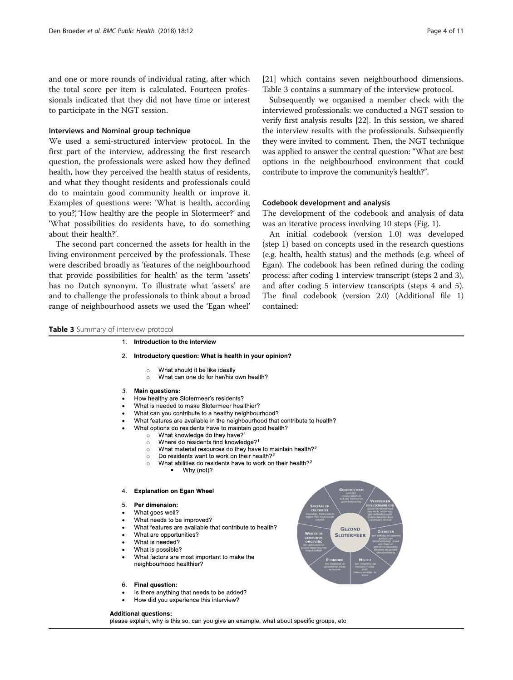and one or more rounds of individual rating, after which the total score per item is calculated. Fourteen professionals indicated that they did not have time or interest to participate in the NGT session.

#### Interviews and Nominal group technique

We used a semi-structured interview protocol. In the first part of the interview, addressing the first research question, the professionals were asked how they defined health, how they perceived the health status of residents, and what they thought residents and professionals could do to maintain good community health or improve it. Examples of questions were: 'What is health, according to you?', 'How healthy are the people in Slotermeer?' and 'What possibilities do residents have, to do something about their health?'.

The second part concerned the assets for health in the living environment perceived by the professionals. These were described broadly as 'features of the neighbourhood that provide possibilities for health' as the term 'assets' has no Dutch synonym. To illustrate what 'assets' are and to challenge the professionals to think about a broad range of neighbourhood assets we used the 'Egan wheel' [[21\]](#page-11-0) which contains seven neighbourhood dimensions. Table 3 contains a summary of the interview protocol.

Subsequently we organised a member check with the interviewed professionals: we conducted a NGT session to verify first analysis results [[22](#page-11-0)]. In this session, we shared the interview results with the professionals. Subsequently they were invited to comment. Then, the NGT technique was applied to answer the central question: "What are best options in the neighbourhood environment that could contribute to improve the community's health?".

## Codebook development and analysis

The development of the codebook and analysis of data was an iterative process involving 10 steps (Fig. [1](#page-5-0)).

An initial codebook (version 1.0) was developed (step 1) based on concepts used in the research questions (e.g. health, health status) and the methods (e.g. wheel of Egan). The codebook has been refined during the coding process: after coding 1 interview transcript (steps 2 and 3), and after coding 5 interview transcripts (steps 4 and 5). The final codebook (version 2.0) (Additional file [1](#page-10-0)) contained:

Table 3 Summary of interview protocol

## 1. Introduction to the interview

- 2. Introductory question: What is health in your opinion?
	- What should it be like ideally  $\circ$
	- What can one do for her/his own health?  $\circ$
- $\mathcal{R}$ **Main questions:**
- How healthy are Slotermeer's residents?
- What is needed to make Slotermeer healthier?
- What can you contribute to a healthy neighbourhood?
- What features are available in the neighbourhood that contribute to health?
	- What options do residents have to maintain good health?
		- What knowledge do they have?<sup>1</sup>  $\Omega$
		- Where do residents find knowledge?<sup>1</sup>  $\circ$
		- What material resources do they have to maintain health?<sup>2</sup>  $\circ$
		- Do residents want to work on their health?<sup>2</sup>  $\circ$
		- What abilities do residents have to work on their health?<sup>2</sup>  $\Omega$ Why (not)?

#### 4. Explanation on Egan Wheel

- $5.$ Per dimension:
- What goes well?
- What needs to be improved?
- What features are available that contribute to health?
- What are opportunities?
- What is needed?
- What is possible?
- What factors are most important to make the neighbourhood healthier?



- $6.$ Final question:
- Is there anything that needs to be added?
- How did you experience this interview?

## **Additional questions:**

please explain, why is this so, can you give an example, what about specific groups, etc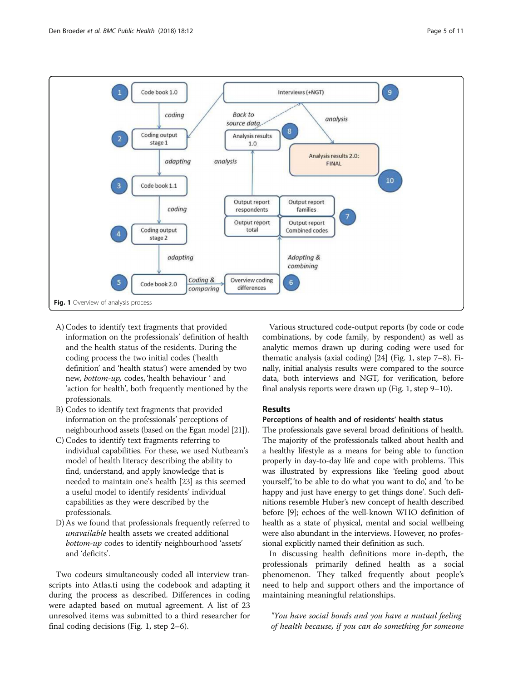<span id="page-5-0"></span>

- A) Codes to identify text fragments that provided information on the professionals' definition of health and the health status of the residents. During the coding process the two initial codes ('health definition' and 'health status') were amended by two new, bottom-up, codes, 'health behaviour ' and 'action for health', both frequently mentioned by the professionals.
- B) Codes to identify text fragments that provided information on the professionals' perceptions of neighbourhood assets (based on the Egan model [[21](#page-11-0)]).
- C) Codes to identify text fragments referring to individual capabilities. For these, we used Nutbeam's model of health literacy describing the ability to find, understand, and apply knowledge that is needed to maintain one's health [\[23\]](#page-11-0) as this seemed a useful model to identify residents' individual capabilities as they were described by the professionals.
- D) As we found that professionals frequently referred to unavailable health assets we created additional bottom-up codes to identify neighbourhood 'assets' and 'deficits'.

Two codeurs simultaneously coded all interview transcripts into Atlas.ti using the codebook and adapting it during the process as described. Differences in coding were adapted based on mutual agreement. A list of 23 unresolved items was submitted to a third researcher for final coding decisions (Fig. 1, step 2–6).

Various structured code-output reports (by code or code combinations, by code family, by respondent) as well as analytic memos drawn up during coding were used for thematic analysis (axial coding) [[24](#page-11-0)] (Fig. 1, step 7–8). Finally, initial analysis results were compared to the source data, both interviews and NGT, for verification, before final analysis reports were drawn up (Fig. 1, step 9–10).

# Results

# Perceptions of health and of residents' health status

The professionals gave several broad definitions of health. The majority of the professionals talked about health and a healthy lifestyle as a means for being able to function properly in day-to-day life and cope with problems. This was illustrated by expressions like 'feeling good about yourself', 'to be able to do what you want to do', and 'to be happy and just have energy to get things done'. Such definitions resemble Huber's new concept of health described before [[9](#page-11-0)]; echoes of the well-known WHO definition of health as a state of physical, mental and social wellbeing were also abundant in the interviews. However, no professional explicitly named their definition as such.

In discussing health definitions more in-depth, the professionals primarily defined health as a social phenomenon. They talked frequently about people's need to help and support others and the importance of maintaining meaningful relationships.

"You have social bonds and you have a mutual feeling of health because, if you can do something for someone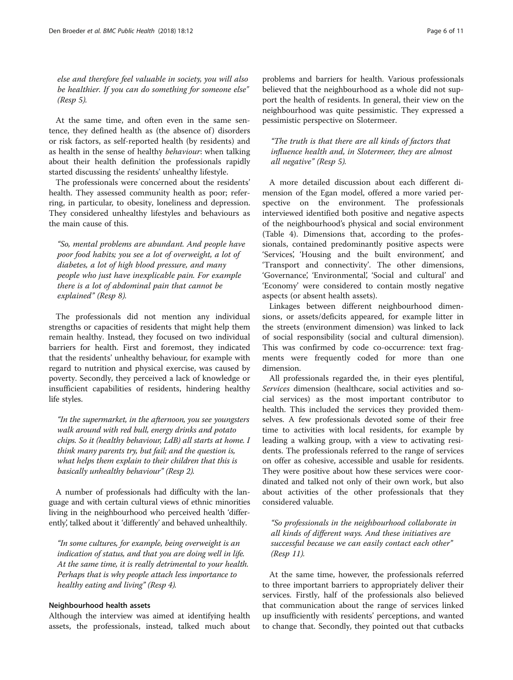else and therefore feel valuable in society, you will also be healthier. If you can do something for someone else" (Resp 5).

At the same time, and often even in the same sentence, they defined health as (the absence of) disorders or risk factors, as self-reported health (by residents) and as health in the sense of healthy behaviour: when talking about their health definition the professionals rapidly started discussing the residents' unhealthy lifestyle.

The professionals were concerned about the residents' health. They assessed community health as poor; referring, in particular, to obesity, loneliness and depression. They considered unhealthy lifestyles and behaviours as the main cause of this.

"So, mental problems are abundant. And people have poor food habits; you see a lot of overweight, a lot of diabetes, a lot of high blood pressure, and many people who just have inexplicable pain. For example there is a lot of abdominal pain that cannot be explained" (Resp 8).

The professionals did not mention any individual strengths or capacities of residents that might help them remain healthy. Instead, they focused on two individual barriers for health. First and foremost, they indicated that the residents' unhealthy behaviour, for example with regard to nutrition and physical exercise, was caused by poverty. Secondly, they perceived a lack of knowledge or insufficient capabilities of residents, hindering healthy life styles.

"In the supermarket, in the afternoon, you see youngsters walk around with red bull, energy drinks and potato chips. So it (healthy behaviour, LdB) all starts at home. I think many parents try, but fail; and the question is, what helps them explain to their children that this is basically unhealthy behaviour" (Resp 2).

A number of professionals had difficulty with the language and with certain cultural views of ethnic minorities living in the neighbourhood who perceived health 'differently', talked about it 'differently' and behaved unhealthily.

"In some cultures, for example, being overweight is an indication of status, and that you are doing well in life. At the same time, it is really detrimental to your health. Perhaps that is why people attach less importance to healthy eating and living" (Resp 4).

# Neighbourhood health assets

Although the interview was aimed at identifying health assets, the professionals, instead, talked much about

problems and barriers for health. Various professionals believed that the neighbourhood as a whole did not support the health of residents. In general, their view on the neighbourhood was quite pessimistic. They expressed a pessimistic perspective on Slotermeer.

"The truth is that there are all kinds of factors that influence health and, in Slotermeer, they are almost all negative" (Resp 5).

A more detailed discussion about each different dimension of the Egan model, offered a more varied perspective on the environment. The professionals interviewed identified both positive and negative aspects of the neighbourhood's physical and social environment (Table [4\)](#page-7-0). Dimensions that, according to the professionals, contained predominantly positive aspects were 'Services', 'Housing and the built environment', and 'Transport and connectivity'. The other dimensions, 'Governance', 'Environmental', 'Social and cultural' and 'Economy' were considered to contain mostly negative aspects (or absent health assets).

Linkages between different neighbourhood dimensions, or assets/deficits appeared, for example litter in the streets (environment dimension) was linked to lack of social responsibility (social and cultural dimension). This was confirmed by code co-occurrence: text fragments were frequently coded for more than one dimension.

All professionals regarded the, in their eyes plentiful, Services dimension (healthcare, social activities and social services) as the most important contributor to health. This included the services they provided themselves. A few professionals devoted some of their free time to activities with local residents, for example by leading a walking group, with a view to activating residents. The professionals referred to the range of services on offer as cohesive, accessible and usable for residents. They were positive about how these services were coordinated and talked not only of their own work, but also about activities of the other professionals that they considered valuable.

"So professionals in the neighbourhood collaborate in all kinds of different ways. And these initiatives are successful because we can easily contact each other" (Resp 11).

At the same time, however, the professionals referred to three important barriers to appropriately deliver their services. Firstly, half of the professionals also believed that communication about the range of services linked up insufficiently with residents' perceptions, and wanted to change that. Secondly, they pointed out that cutbacks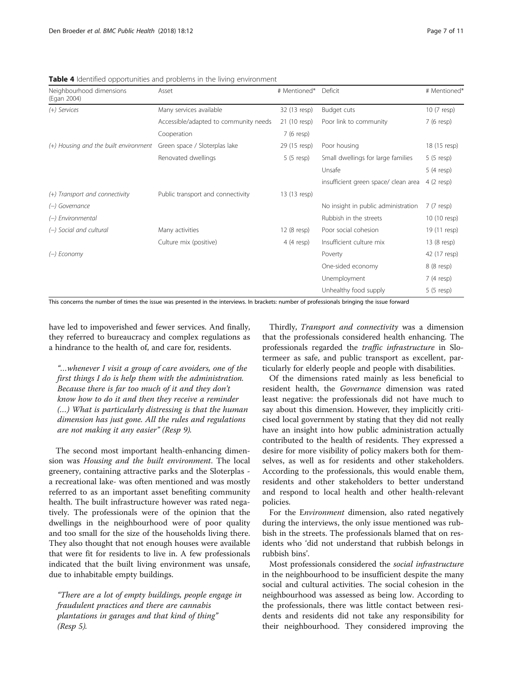| Neighbourhood dimensions<br>(Egan 2004) | Asset                                 | # Mentioned* | Deficit                              | # Mentioned* |
|-----------------------------------------|---------------------------------------|--------------|--------------------------------------|--------------|
| (+) Services                            | Many services available               | 32 (13 resp) | Budget cuts                          | 10 (7 resp)  |
|                                         | Accessible/adapted to community needs | 21 (10 resp) | Poor link to community               | 7 (6 resp)   |
|                                         | Cooperation                           | 7 (6 resp)   |                                      |              |
| (+) Housing and the built environment   | Green space / Sloterplas lake         | 29 (15 resp) | Poor housing                         | 18 (15 resp) |
|                                         | Renovated dwellings                   | $5(5$ resp)  | Small dwellings for large families   | $5(5$ resp)  |
|                                         |                                       |              | Unsafe                               | 5 (4 resp)   |
|                                         |                                       |              | insufficient green space/ clean area | $4(2$ resp)  |
| (+) Transport and connectivity          | Public transport and connectivity     | 13 (13 resp) |                                      |              |
| (-) Governance                          |                                       |              | No insight in public administration  | 7 (7 resp)   |
| (-) Environmental                       |                                       |              | Rubbish in the streets               | 10 (10 resp) |
| (-) Social and cultural                 | Many activities                       | 12 (8 resp)  | Poor social cohesion                 | 19 (11 resp) |
|                                         | Culture mix (positive)                | 4 (4 resp)   | Insufficient culture mix             | 13 (8 resp)  |
| (-) Economy                             |                                       |              | Poverty                              | 42 (17 resp) |
|                                         |                                       |              | One-sided economy                    | 8 (8 resp)   |
|                                         |                                       |              | Unemployment                         | 7 (4 resp)   |
|                                         |                                       |              | Unhealthy food supply                | 5 (5 resp)   |

<span id="page-7-0"></span>Table 4 Identified opportunities and problems in the living environment

This concerns the number of times the issue was presented in the interviews. In brackets: number of professionals bringing the issue forward

have led to impoverished and fewer services. And finally, they referred to bureaucracy and complex regulations as a hindrance to the health of, and care for, residents.

"…whenever I visit a group of care avoiders, one of the first things I do is help them with the administration. Because there is far too much of it and they don't know how to do it and then they receive a reminder (…) What is particularly distressing is that the human dimension has just gone. All the rules and regulations are not making it any easier" (Resp 9).

The second most important health-enhancing dimension was Housing and the built environment. The local greenery, containing attractive parks and the Sloterplas a recreational lake- was often mentioned and was mostly referred to as an important asset benefiting community health. The built infrastructure however was rated negatively. The professionals were of the opinion that the dwellings in the neighbourhood were of poor quality and too small for the size of the households living there. They also thought that not enough houses were available that were fit for residents to live in. A few professionals indicated that the built living environment was unsafe, due to inhabitable empty buildings.

"There are a lot of empty buildings, people engage in fraudulent practices and there are cannabis plantations in garages and that kind of thing" (Resp 5).

Thirdly, Transport and connectivity was a dimension that the professionals considered health enhancing. The professionals regarded the traffic infrastructure in Slotermeer as safe, and public transport as excellent, particularly for elderly people and people with disabilities.

Of the dimensions rated mainly as less beneficial to resident health, the Governance dimension was rated least negative: the professionals did not have much to say about this dimension. However, they implicitly criticised local government by stating that they did not really have an insight into how public administration actually contributed to the health of residents. They expressed a desire for more visibility of policy makers both for themselves, as well as for residents and other stakeholders. According to the professionals, this would enable them, residents and other stakeholders to better understand and respond to local health and other health-relevant policies.

For the Environment dimension, also rated negatively during the interviews, the only issue mentioned was rubbish in the streets. The professionals blamed that on residents who 'did not understand that rubbish belongs in rubbish bins'.

Most professionals considered the social infrastructure in the neighbourhood to be insufficient despite the many social and cultural activities. The social cohesion in the neighbourhood was assessed as being low. According to the professionals, there was little contact between residents and residents did not take any responsibility for their neighbourhood. They considered improving the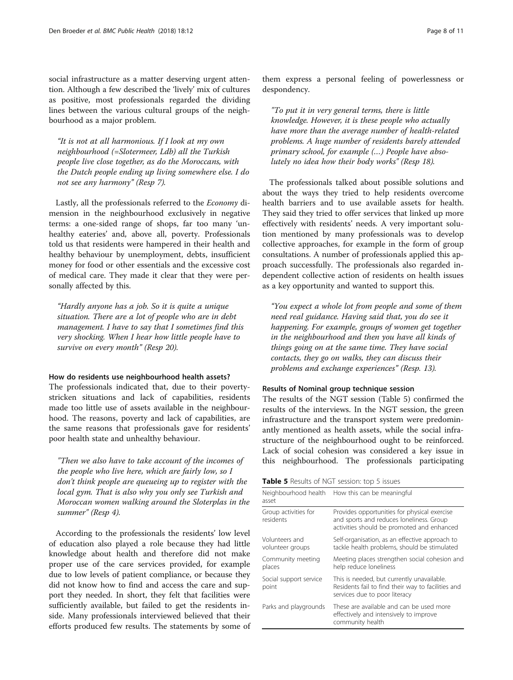social infrastructure as a matter deserving urgent attention. Although a few described the 'lively' mix of cultures as positive, most professionals regarded the dividing lines between the various cultural groups of the neighbourhood as a major problem.

"It is not at all harmonious. If I look at my own neighbourhood (=Slotermeer, Ldb) all the Turkish people live close together, as do the Moroccans, with the Dutch people ending up living somewhere else. I do not see any harmony" (Resp 7).

Lastly, all the professionals referred to the Economy dimension in the neighbourhood exclusively in negative terms: a one-sided range of shops, far too many 'unhealthy eateries' and, above all, poverty. Professionals told us that residents were hampered in their health and healthy behaviour by unemployment, debts, insufficient money for food or other essentials and the excessive cost of medical care. They made it clear that they were personally affected by this.

"Hardly anyone has a job. So it is quite a unique situation. There are a lot of people who are in debt management. I have to say that I sometimes find this very shocking. When I hear how little people have to survive on every month" (Resp 20).

# How do residents use neighbourhood health assets?

The professionals indicated that, due to their povertystricken situations and lack of capabilities, residents made too little use of assets available in the neighbourhood. The reasons, poverty and lack of capabilities, are the same reasons that professionals gave for residents' poor health state and unhealthy behaviour.

"Then we also have to take account of the incomes of the people who live here, which are fairly low, so I don't think people are queueing up to register with the local gym. That is also why you only see Turkish and Moroccan women walking around the Sloterplas in the summer" (Resp 4).

According to the professionals the residents' low level of education also played a role because they had little knowledge about health and therefore did not make proper use of the care services provided, for example due to low levels of patient compliance, or because they did not know how to find and access the care and support they needed. In short, they felt that facilities were sufficiently available, but failed to get the residents inside. Many professionals interviewed believed that their efforts produced few results. The statements by some of

them express a personal feeling of powerlessness or despondency.

"To put it in very general terms, there is little knowledge. However, it is these people who actually have more than the average number of health-related problems. A huge number of residents barely attended primary school, for example (…) People have absolutely no idea how their body works" (Resp 18).

The professionals talked about possible solutions and about the ways they tried to help residents overcome health barriers and to use available assets for health. They said they tried to offer services that linked up more effectively with residents' needs. A very important solution mentioned by many professionals was to develop collective approaches, for example in the form of group consultations. A number of professionals applied this approach successfully. The professionals also regarded independent collective action of residents on health issues as a key opportunity and wanted to support this.

"You expect a whole lot from people and some of them need real guidance. Having said that, you do see it happening. For example, groups of women get together in the neighbourhood and then you have all kinds of things going on at the same time. They have social contacts, they go on walks, they can discuss their problems and exchange experiences" (Resp. 13).

# Results of Nominal group technique session

The results of the NGT session (Table 5) confirmed the results of the interviews. In the NGT session, the green infrastructure and the transport system were predominantly mentioned as health assets, while the social infrastructure of the neighbourhood ought to be reinforced. Lack of social cohesion was considered a key issue in this neighbourhood. The professionals participating

| Table 5 Results of NGT session: top 5 issues |  |
|----------------------------------------------|--|
|----------------------------------------------|--|

| Neighbourhood health<br>asset      | How this can be meaningful                                                                                                             |
|------------------------------------|----------------------------------------------------------------------------------------------------------------------------------------|
| Group activities for<br>residents  | Provides opportunities for physical exercise<br>and sports and reduces loneliness. Group<br>activities should be promoted and enhanced |
| Volunteers and<br>volunteer groups | Self-organisation, as an effective approach to<br>tackle health problems, should be stimulated                                         |
| Community meeting<br>places        | Meeting places strengthen social cohesion and<br>help reduce loneliness                                                                |
| Social support service<br>point    | This is needed, but currently unavailable.<br>Residents fail to find their way to facilities and<br>services due to poor literacy      |
| Parks and playgrounds              | These are available and can be used more<br>effectively and intensively to improve<br>community health                                 |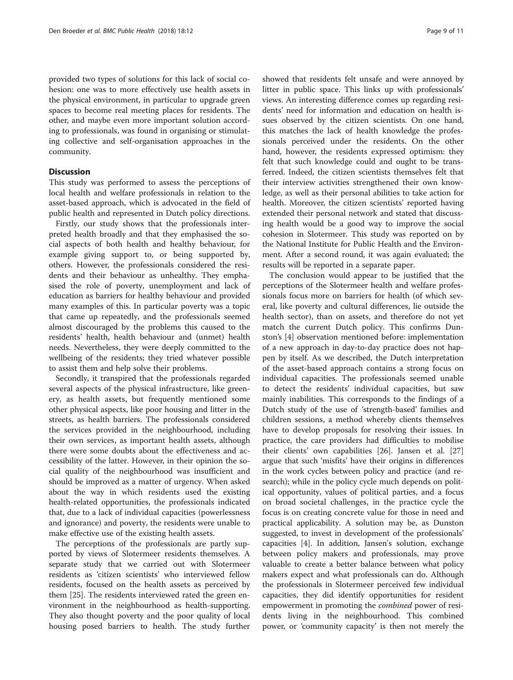provided two types of solutions for this lack of social cohesion: one was to more effectively use health assets in the physical environment, in particular to upgrade green spaces to become real meeting places for residents. The other, and maybe even more important solution according to professionals, was found in organising or stimulating collective and self-organisation approaches in the community.

# **Discussion**

This study was performed to assess the perceptions of local health and welfare professionals in relation to the asset-based approach, which is advocated in the field of public health and represented in Dutch policy directions.

Firstly, our study shows that the professionals interpreted health broadly and that they emphasised the social aspects of both health and healthy behaviour, for example giving support to, or being supported by, others. However, the professionals considered the residents and their behaviour as unhealthy. They emphasised the role of poverty, unemployment and lack of education as barriers for healthy behaviour and provided many examples of this. In particular poverty was a topic that came up repeatedly, and the professionals seemed almost discouraged by the problems this caused to the residents' health, health behaviour and (unmet) health needs. Nevertheless, they were deeply committed to the wellbeing of the residents; they tried whatever possible to assist them and help solve their problems.

Secondly, it transpired that the professionals regarded several aspects of the physical infrastructure, like greenery, as health assets, but frequently mentioned some other physical aspects, like poor housing and litter in the streets, as health barriers. The professionals considered the services provided in the neighbourhood, including their own services, as important health assets, although there were some doubts about the effectiveness and accessibility of the latter. However, in their opinion the social quality of the neighbourhood was insufficient and should be improved as a matter of urgency. When asked about the way in which residents used the existing health-related opportunities, the professionals indicated that, due to a lack of individual capacities (powerlessness and ignorance) and poverty, the residents were unable to make effective use of the existing health assets.

The perceptions of the professionals are partly supported by views of Slotermeer residents themselves. A separate study that we carried out with Slotermeer residents as 'citizen scientists' who interviewed fellow residents, focused on the health assets as perceived by them [\[25\]](#page-11-0). The residents interviewed rated the green environment in the neighbourhood as health-supporting. They also thought poverty and the poor quality of local housing posed barriers to health. The study further showed that residents felt unsafe and were annoyed by litter in public space. This links up with professionals' views. An interesting difference comes up regarding residents' need for information and education on health issues observed by the citizen scientists. On one hand, this matches the lack of health knowledge the professionals perceived under the residents. On the other hand, however, the residents expressed optimism: they felt that such knowledge could and ought to be transferred. Indeed, the citizen scientists themselves felt that their interview activities strengthened their own knowledge, as well as their personal abilities to take action for health. Moreover, the citizen scientists' reported having extended their personal network and stated that discussing health would be a good way to improve the social cohesion in Slotermeer. This study was reported on by the National Institute for Public Health and the Environment. After a second round, it was again evaluated; the results will be reported in a separate paper.

The conclusion would appear to be justified that the perceptions of the Slotermeer health and welfare professionals focus more on barriers for health (of which several, like poverty and cultural differences, lie outside the health sector), than on assets, and therefore do not yet match the current Dutch policy. This confirms Dunston's [[4\]](#page-11-0) observation mentioned before: implementation of a new approach in day-to-day practice does not happen by itself. As we described, the Dutch interpretation of the asset-based approach contains a strong focus on individual capacities. The professionals seemed unable to detect the residents' individual capacities, but saw mainly inabilities. This corresponds to the findings of a Dutch study of the use of 'strength-based' families and children sessions, a method whereby clients themselves have to develop proposals for resolving their issues. In practice, the care providers had difficulties to mobilise their clients' own capabilities [\[26\]](#page-11-0). Jansen et al. [[27](#page-11-0)] argue that such 'misfits' have their origins in differences in the work cycles between policy and practice (and research); while in the policy cycle much depends on political opportunity, values of political parties, and a focus on broad societal challenges, in the practice cycle the focus is on creating concrete value for those in need and practical applicability. A solution may be, as Dunston suggested, to invest in development of the professionals' capacities [\[4](#page-11-0)]. In addition, Jansen's solution, exchange between policy makers and professionals, may prove valuable to create a better balance between what policy makers expect and what professionals can do. Although the professionals in Slotermeer perceived few individual capacities, they did identify opportunities for resident empowerment in promoting the combined power of residents living in the neighbourhood. This combined power, or 'community capacity' is then not merely the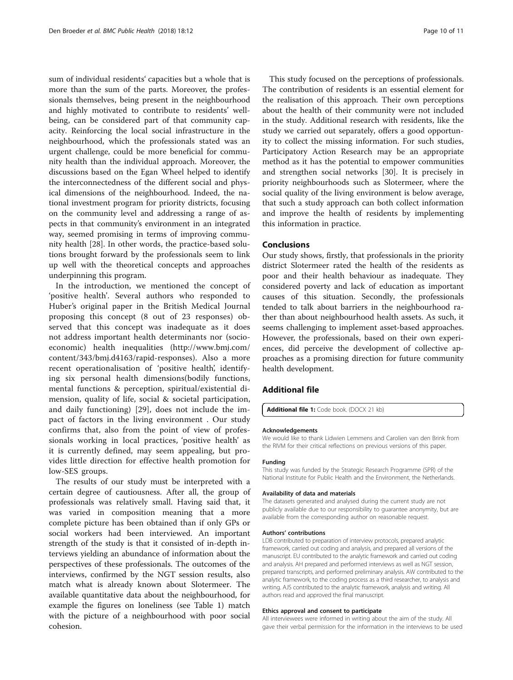<span id="page-10-0"></span>sum of individual residents' capacities but a whole that is more than the sum of the parts. Moreover, the professionals themselves, being present in the neighbourhood and highly motivated to contribute to residents' wellbeing, can be considered part of that community capacity. Reinforcing the local social infrastructure in the neighbourhood, which the professionals stated was an urgent challenge, could be more beneficial for community health than the individual approach. Moreover, the discussions based on the Egan Wheel helped to identify the interconnectedness of the different social and physical dimensions of the neighbourhood. Indeed, the national investment program for priority districts, focusing on the community level and addressing a range of aspects in that community's environment in an integrated way, seemed promising in terms of improving community health [[28\]](#page-11-0). In other words, the practice-based solutions brought forward by the professionals seem to link up well with the theoretical concepts and approaches underpinning this program.

In the introduction, we mentioned the concept of 'positive health'. Several authors who responded to Huber's original paper in the British Medical Journal proposing this concept (8 out of 23 responses) observed that this concept was inadequate as it does not address important health determinants nor (socioeconomic) health inequalities ([http://www.bmj.com/](http://www.bmj.com/content/343/bmj.d4163/rapid-responses) [content/343/bmj.d4163/rapid-responses\)](http://www.bmj.com/content/343/bmj.d4163/rapid-responses). Also a more recent operationalisation of 'positive health', identifying six personal health dimensions(bodily functions, mental functions & perception, spiritual/existential dimension, quality of life, social & societal participation, and daily functioning) [\[29](#page-11-0)], does not include the impact of factors in the living environment . Our study confirms that, also from the point of view of professionals working in local practices, 'positive health' as it is currently defined, may seem appealing, but provides little direction for effective health promotion for low-SES groups.

The results of our study must be interpreted with a certain degree of cautiousness. After all, the group of professionals was relatively small. Having said that, it was varied in composition meaning that a more complete picture has been obtained than if only GPs or social workers had been interviewed. An important strength of the study is that it consisted of in-depth interviews yielding an abundance of information about the perspectives of these professionals. The outcomes of the interviews, confirmed by the NGT session results, also match what is already known about Slotermeer. The available quantitative data about the neighbourhood, for example the figures on loneliness (see Table [1](#page-2-0)) match with the picture of a neighbourhood with poor social cohesion.

This study focused on the perceptions of professionals. The contribution of residents is an essential element for the realisation of this approach. Their own perceptions about the health of their community were not included in the study. Additional research with residents, like the study we carried out separately, offers a good opportunity to collect the missing information. For such studies, Participatory Action Research may be an appropriate method as it has the potential to empower communities and strengthen social networks [[30\]](#page-11-0). It is precisely in priority neighbourhoods such as Slotermeer, where the social quality of the living environment is below average, that such a study approach can both collect information and improve the health of residents by implementing this information in practice.

## Conclusions

Our study shows, firstly, that professionals in the priority district Slotermeer rated the health of the residents as poor and their health behaviour as inadequate. They considered poverty and lack of education as important causes of this situation. Secondly, the professionals tended to talk about barriers in the neighbourhood rather than about neighbourhood health assets. As such, it seems challenging to implement asset-based approaches. However, the professionals, based on their own experiences, did perceive the development of collective approaches as a promising direction for future community health development.

# Additional file

[Additional file 1:](dx.doi.org/10.1186/s12889-017-4555-6) Code book. (DOCX 21 kb)

#### Acknowledgements

We would like to thank Lidwien Lemmens and Carolien van den Brink from the RIVM for their critical reflections on previous versions of this paper.

#### Funding

This study was funded by the Strategic Research Programme (SPR) of the National Institute for Public Health and the Environment, the Netherlands.

#### Availability of data and materials

The datasets generated and analysed during the current study are not publicly available due to our responsibility to guarantee anonymity, but are available from the corresponding author on reasonable request.

#### Authors' contributions

LDB contributed to preparation of interview protocols, prepared analytic framework, carried out coding and analysis, and prepared all versions of the manuscript. EU contributed to the analytic framework and carried out coding and analysis. AH prepared and performed interviews as well as NGT session, prepared transcripts, and performed preliminary analysis. AW contributed to the analytic framework, to the coding process as a third researcher, to analysis and writing. AJS contributed to the analytic framework, analysis and writing. All authors read and approved the final manuscript.

#### Ethics approval and consent to participate

All interviewees were informed in writing about the aim of the study. All gave their verbal permission for the information in the interviews to be used